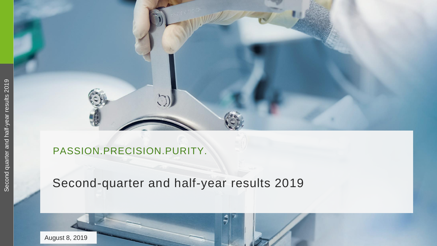

### PASSION.PRECISION.PURITY.

### Second -quarter and half -year results 2019

August 8, 2019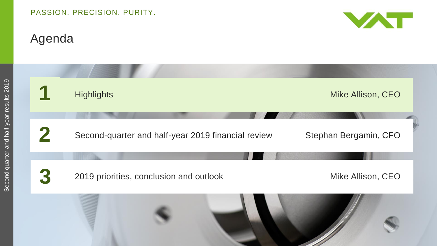# Agenda

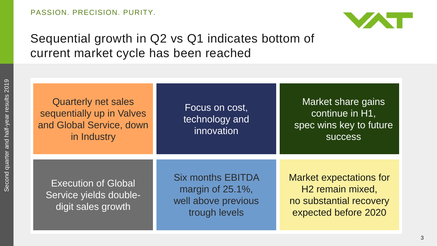

# Sequential growth in Q2 vs Q1 indicates bottom of current market cycle has been reached

| <b>Quarterly net sales</b><br>sequentially up in Valves<br>and Global Service, down<br>in Industry | Focus on cost,<br>technology and<br>innovation                                       | Market share gains<br>continue in H1,<br>spec wins key to future<br><b>SUCCESS</b>                                |  |
|----------------------------------------------------------------------------------------------------|--------------------------------------------------------------------------------------|-------------------------------------------------------------------------------------------------------------------|--|
| <b>Execution of Global</b><br>Service yields double-<br>digit sales growth                         | <b>Six months EBITDA</b><br>margin of 25.1%,<br>well above previous<br>trough levels | <b>Market expectations for</b><br>H <sub>2</sub> remain mixed,<br>no substantial recovery<br>expected before 2020 |  |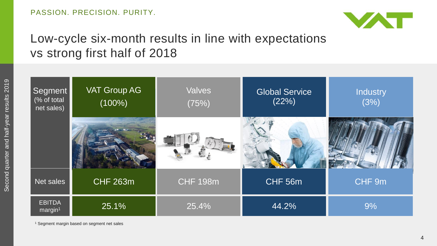

# Low-cycle six-month results in line with expectations vs strong first half of 2018

| Segment<br>(% of total<br>net sales) | <b>VAT Group AG</b><br>$(100\%)$ | <b>Valves</b><br>(75%) | <b>Global Service</b><br>(22%) | <b>Industry</b><br>(3%) |
|--------------------------------------|----------------------------------|------------------------|--------------------------------|-------------------------|
|                                      |                                  |                        |                                |                         |
| Net sales                            | <b>CHF 263m</b>                  | <b>CHF 198m</b>        | CHF 56m                        | CHF 9m                  |
| <b>EBITDA</b><br>margin <sup>1</sup> | 25.1%                            | 25.4%                  | 44.2%                          | 9%                      |

<sup>1</sup> Segment margin based on segment net sales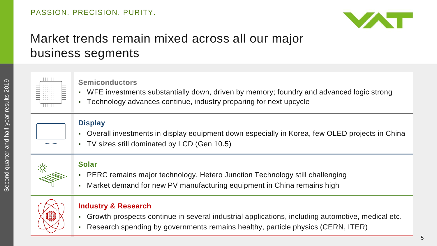

# Market trends remain mixed across all our major business segments



#### **Semiconductors**

- WFE investments substantially down, driven by memory; foundry and advanced logic strong
- Technology advances continue, industry preparing for next upcycle

#### **Display**

- Overall investments in display equipment down especially in Korea, few OLED projects in China
- TV sizes still dominated by LCD (Gen 10.5)



#### **Solar**

- PERC remains major technology, Hetero Junction Technology still challenging
- Market demand for new PV manufacturing equipment in China remains high



#### **Industry & Research**

- Growth prospects continue in several industrial applications, including automotive, medical etc.
- Research spending by governments remains healthy, particle physics (CERN, ITER)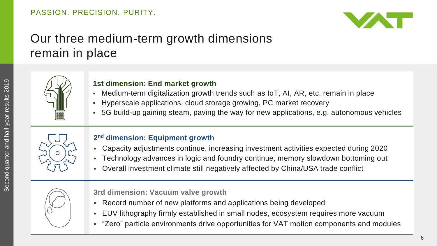

# Our three medium-term growth dimensions remain in place



#### **1st dimension: End market growth**

- Medium-term digitalization growth trends such as IoT, AI, AR, etc. remain in place
- Hyperscale applications, cloud storage growing, PC market recovery
- 5G build-up gaining steam, paving the way for new applications, e.g. autonomous vehicles



#### **2 nd dimension: Equipment growth**

- Capacity adjustments continue, increasing investment activities expected during 2020
- Technology advances in logic and foundry continue, memory slowdown bottoming out
- Overall investment climate still negatively affected by China/USA trade conflict



**3rd dimension: Vacuum valve growth**

- Record number of new platforms and applications being developed
- EUV lithography firmly established in small nodes, ecosystem requires more vacuum
- "Zero" particle environments drive opportunities for VAT motion components and modules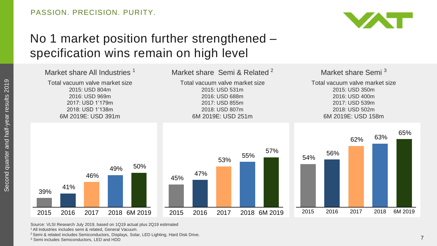

# No 1 market position further strengthened – specification wins remain on high level



Source: VLSI Research July 2019, based on 1Q19 actual plus 2Q19 estimated <sup>1</sup>All Industries includes semi & related, General Vacuum.

<sup>2</sup> Semi & related includes Semiconductors, Displays, Solar, LED Lighting, Hard Disk Drive.

<sup>3</sup> Semi includes Semiconductors, LED and HDD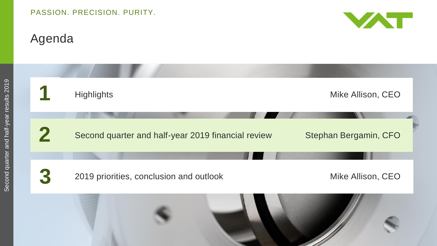# Agenda



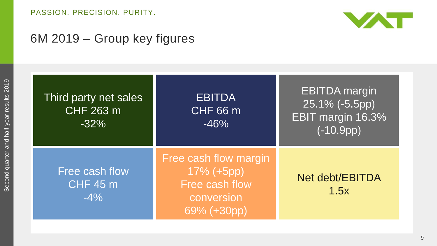

## 6M 2019 – Group key figures

| Third party net sales<br>CHF 263 m<br>$-32%$ | <b>EBITDA</b><br><b>CHF 66 m</b><br>$-46%$                                         | <b>EBITDA</b> margin<br>25.1% (-5.5pp)<br><b>EBIT margin 16.3%</b><br>$(-10.9pp)$ |
|----------------------------------------------|------------------------------------------------------------------------------------|-----------------------------------------------------------------------------------|
| Free cash flow<br><b>CHF 45 m</b><br>$-4\%$  | Free cash flow margin<br>17% (+5pp)<br>Free cash flow<br>conversion<br>69% (+30pp) | Net debt/EBITDA<br>1.5x                                                           |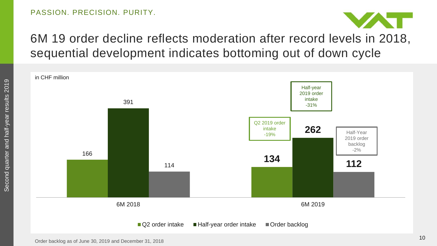

# 6M 19 order decline reflects moderation after record levels in 2018, sequential development indicates bottoming out of down cycle

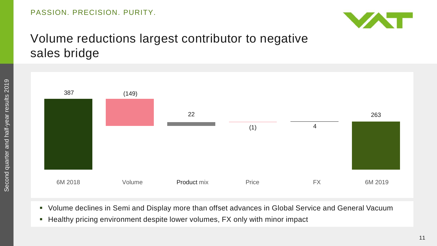

## Volume reductions largest contributor to negative sales bridge



- Volume declines in Semi and Display more than offset advances in Global Service and General Vacuum
- **-** Healthy pricing environment despite lower volumes, FX only with minor impact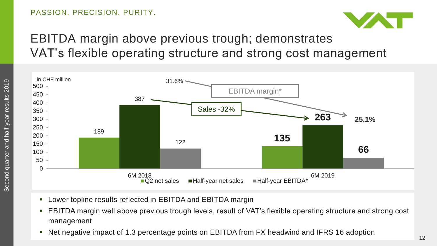

# EBITDA margin above previous trough; demonstrates VAT's flexible operating structure and strong cost management



- Lower topline results reflected in EBITDA and EBITDA margin
- EBITDA margin well above previous trough levels, result of VAT's flexible operating structure and strong cost management
- Net negative impact of 1.3 percentage points on EBITDA from FX headwind and IFRS 16 adoption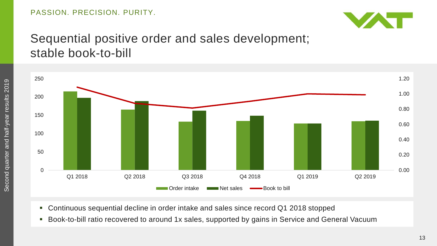

### Sequential positive order and sales development; stable book-to-bill



- Continuous sequential decline in order intake and sales since record Q1 2018 stopped
- Book-to-bill ratio recovered to around 1x sales, supported by gains in Service and General Vacuum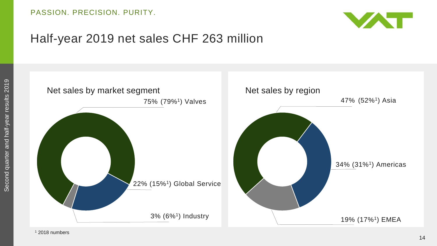

### Half-year 2019 net sales CHF 263 million

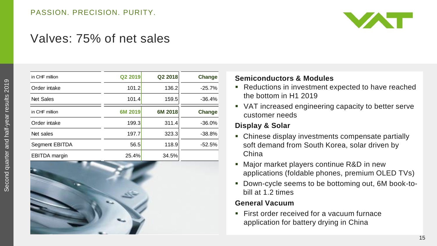

### Valves: 75% of net sales

| in CHF million       | Q2 2019 | Q2 2018 | Change   |
|----------------------|---------|---------|----------|
| Order intake         | 101.2   | 136.2   | $-25.7%$ |
| <b>Net Sales</b>     | 101.4   | 159.5   | $-36.4%$ |
| in CHF million       | 6M 2019 | 6M 2018 | Change   |
| Order intake         | 199.3   | 311.4   | $-36.0%$ |
| Net sales            | 197.7   | 323.3   | $-38.8%$ |
| Segment EBITDA       | 56.5    | 118.9   | $-52.5%$ |
| <b>EBITDA</b> margin | 25.4%   | 34.5%   |          |



#### **Semiconductors & Modules**

- Reductions in investment expected to have reached the bottom in H1 2019
- VAT increased engineering capacity to better serve customer needs

#### **Display & Solar**

- Chinese display investments compensate partially soft demand from South Korea, solar driven by China
- **Major market players continue R&D in new** applications (foldable phones, premium OLED TVs)
- **-** Down-cycle seems to be bottoming out, 6M book-tobill at 1.2 times

#### **General Vacuum**

**First order received for a vacuum furnace** application for battery drying in China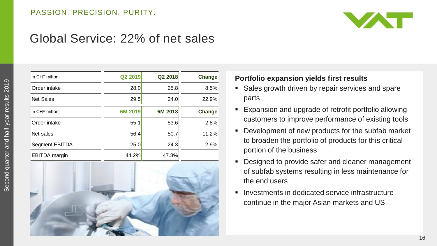

### Global Service: 22% of net sales

| in CHF million       | Q2 2019 | Q2 2018 | Change | Portfolio expansion yields first results                                                                      |
|----------------------|---------|---------|--------|---------------------------------------------------------------------------------------------------------------|
| Order intake         | 28.0    | 25.8    | 8.5%   | • Sales growth driven by repair services and s                                                                |
| Net Sales            | 29.5    | 24.0    | 22.9%  | parts                                                                                                         |
| in CHF million       | 6M 2019 | 6M 2018 | Change | • Expansion and upgrade of retrofit portfolio al                                                              |
| Order intake         | 55.1    | 53.6    | 2.8%   | customers to improve performance of existin                                                                   |
| Net sales            | 56.4    | 50.7    | 11.2%  | Development of new products for the subfab<br>$\mathcal{L}_{\mathcal{A}}$                                     |
| Segment EBITDA       | 25.0    | 24.3    | 2.9%   | to broaden the portfolio of products for this co                                                              |
| <b>EBITDA</b> margin | 44.2%   | 47.8%   |        | portion of the business                                                                                       |
|                      |         |         |        | • Designed to provide safer and cleaner mana<br>of subfab systems resulting in less maintena<br>the end users |
|                      |         |         |        | Investments in dedicated service infrastructu<br>٠<br>continue in the major Asian markets and US              |



#### **Portfolio expansion yields first results**

- **Sales growth driven by repair services and spare** parts
- Expansion and upgrade of retrofit portfolio allowing customers to improve performance of existing tools
- **Development of new products for the subfab market** to broaden the portfolio of products for this critical portion of the business
- Designed to provide safer and cleaner management of subfab systems resulting in less maintenance for the end users
- Investments in dedicated service infrastructure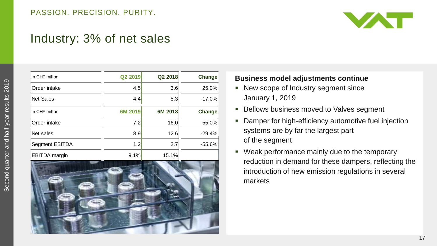

### Industry: 3% of net sales

| in CHF million                                 | Q2 2019 | Q2 2018 | Change   |
|------------------------------------------------|---------|---------|----------|
| Order intake                                   | 4.5     | 3.6     | 25.0%    |
| <b>Net Sales</b>                               | 4.4     | 5.3     | $-17.0%$ |
| in CHF million                                 | 6M 2019 | 6M 2018 | Change   |
| Order intake                                   | 7.2     | 16.0    | $-55.0%$ |
| Net sales                                      | 8.9     | 12.6    | $-29.4%$ |
| Segment EBITDA                                 | 1.2     | 2.7     | -55.6%   |
| <b>EBITDA</b> margin<br><b>College College</b> | 9.1%    | 15.1%   |          |



#### **Business model adjustments continue**

- New scope of Industry segment since January 1, 2019
- **Bellows business moved to Valves segment**
- **Damper for high-efficiency automotive fuel injection** systems are by far the largest part of the segment
- **Weak performance mainly due to the temporary** reduction in demand for these dampers, reflecting the introduction of new emission regulations in several markets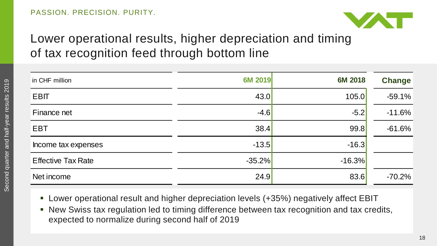

# Lower operational results, higher depreciation and timing of tax recognition feed through bottom line

| in CHF million            | 6M 2019  | 6M 2018  | <b>Change</b> |
|---------------------------|----------|----------|---------------|
| <b>EBIT</b>               | 43.0     | 105.0    | $-59.1%$      |
| Finance net               | $-4.6$   | $-5.2$   | $-11.6%$      |
| <b>EBT</b>                | 38.4     | 99.8     | $-61.6%$      |
| Income tax expenses       | $-13.5$  | $-16.3$  |               |
| <b>Effective Tax Rate</b> | $-35.2%$ | $-16.3%$ |               |
| Net income                | 24.9     | 83.6     | $-70.2%$      |

- Lower operational result and higher depreciation levels (+35%) negatively affect EBIT
- New Swiss tax regulation led to timing difference between tax recognition and tax credits, expected to normalize during second half of 2019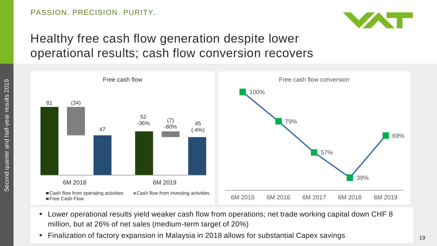

# Healthy free cash flow generation despite lower operational results; cash flow conversion recovers



- Lower operational results yield weaker cash flow from operations; net trade working capital down CHF 8 million, but at 26% of net sales (medium-term target of 20%)
- Finalization of factory expansion in Malaysia in 2018 allows for substantial Capex savings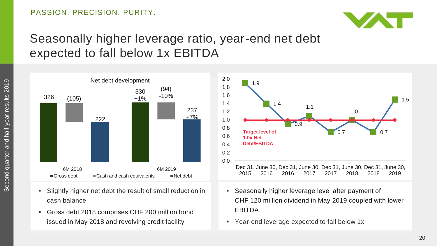

## Seasonally higher leverage ratio, year-end net debt expected to fall below 1x EBITDA



- Slightly higher net debt the result of small reduction in cash balance
- Gross debt 2018 comprises CHF 200 million bond issued in May 2018 and revolving credit facility



- Seasonally higher leverage level after payment of CHF 120 million dividend in May 2019 coupled with lower EBITDA
- Year-end leverage expected to fall below 1x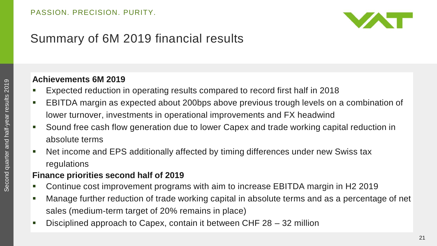

# Summary of 6M 2019 financial results

### **Achievements 6M 2019**

- Expected reduction in operating results compared to record first half in 2018
- EBITDA margin as expected about 200bps above previous trough levels on a combination of lower turnover, investments in operational improvements and FX headwind
- Sound free cash flow generation due to lower Capex and trade working capital reduction in absolute terms
- Net income and EPS additionally affected by timing differences under new Swiss tax regulations

### **Finance priorities second half of 2019**

- Continue cost improvement programs with aim to increase EBITDA margin in H2 2019
- Manage further reduction of trade working capital in absolute terms and as a percentage of net sales (medium-term target of 20% remains in place)
- Disciplined approach to Capex, contain it between CHF 28 32 million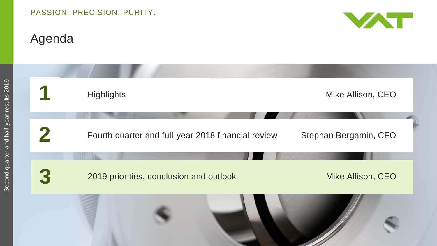# Agenda



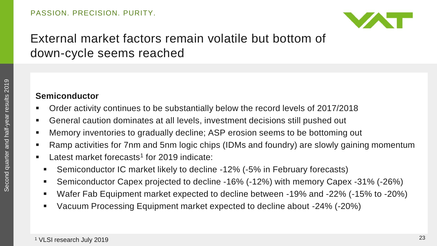

# External market factors remain volatile but bottom of down-cycle seems reached

### **Semiconductor**

- Order activity continues to be substantially below the record levels of 2017/2018
- General caution dominates at all levels, investment decisions still pushed out
- Memory inventories to gradually decline; ASP erosion seems to be bottoming out
- Ramp activities for 7nm and 5nm logic chips (IDMs and foundry) are slowly gaining momentum
- **EXEC** Latest market forecasts<sup>1</sup> for 2019 indicate:
	- Semiconductor IC market likely to decline -12% (-5% in February forecasts)
	- Semiconductor Capex projected to decline -16% (-12%) with memory Capex -31% (-26%)
	- Wafer Fab Equipment market expected to decline between -19% and -22% (-15% to -20%)
	- Vacuum Processing Equipment market expected to decline about -24% (-20%)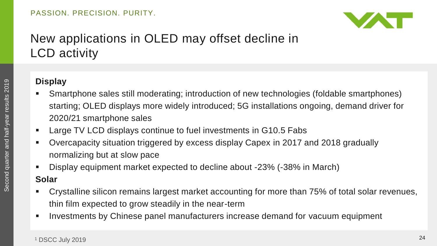

# New applications in OLED may offset decline in LCD activity

### **Display**

- Smartphone sales still moderating; introduction of new technologies (foldable smartphones) starting; OLED displays more widely introduced; 5G installations ongoing, demand driver for 2020/21 smartphone sales
- **EXECUTE:** Large TV LCD displays continue to fuel investments in G10.5 Fabs
- Overcapacity situation triggered by excess display Capex in 2017 and 2018 gradually normalizing but at slow pace
- Display equipment market expected to decline about -23% (-38% in March) **Solar**
- Crystalline silicon remains largest market accounting for more than 75% of total solar revenues, thin film expected to grow steadily in the near-term
- Investments by Chinese panel manufacturers increase demand for vacuum equipment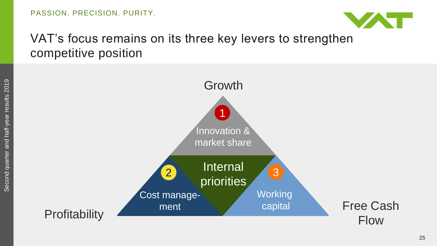

## VAT's focus remains on its three key levers to strengthen competitive position

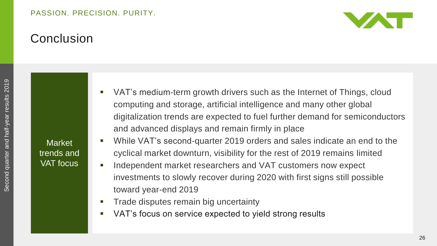#### PASSION. PRECISION. PURITY.



## **Conclusion**

Second quarter and half-year results 2019 Second quarter and half-year results 2019

**Market** trends and VAT focus

- VAT's medium-term growth drivers such as the Internet of Things, cloud computing and storage, artificial intelligence and many other global digitalization trends are expected to fuel further demand for semiconductors and advanced displays and remain firmly in place
- While VAT's second-quarter 2019 orders and sales indicate an end to the cyclical market downturn, visibility for the rest of 2019 remains limited
- **Independent market researchers and VAT customers now expect** investments to slowly recover during 2020 with first signs still possible toward year-end 2019
- Trade disputes remain big uncertainty
- VAT's focus on service expected to yield strong results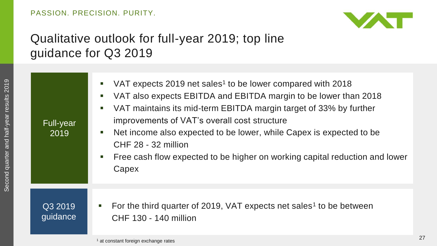

# Qualitative outlook for full-year 2019; top line guidance for Q3 2019

| For the third quarter of 2019, VAT expects net sales <sup>1</sup> to be between<br>Q3 2019<br>$\mathbb{Z}$ | Full-year<br>2019 | VAT expects 2019 net sales <sup>1</sup> to be lower compared with 2018<br>П<br>VAT also expects EBITDA and EBITDA margin to be lower than 2018<br>$\blacksquare$<br>VAT maintains its mid-term EBITDA margin target of 33% by further<br>$\mathcal{L}_{\mathcal{A}}$<br>improvements of VAT's overall cost structure<br>Net income also expected to be lower, while Capex is expected to be<br>П<br>CHF 28 - 32 million<br>Free cash flow expected to be higher on working capital reduction and lower<br>$\blacksquare$<br>Capex |
|------------------------------------------------------------------------------------------------------------|-------------------|-----------------------------------------------------------------------------------------------------------------------------------------------------------------------------------------------------------------------------------------------------------------------------------------------------------------------------------------------------------------------------------------------------------------------------------------------------------------------------------------------------------------------------------|
|                                                                                                            | guidance          | CHF 130 - 140 million                                                                                                                                                                                                                                                                                                                                                                                                                                                                                                             |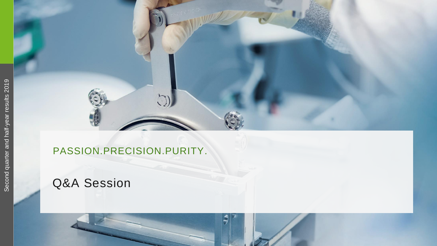

### PASSION.PRECISION.PURITY .

# Q&A Session

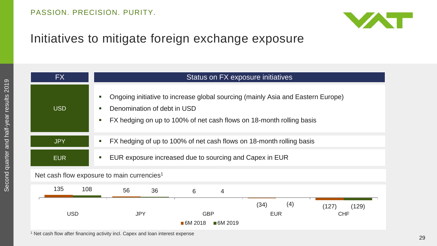

## Initiatives to mitigate foreign exchange exposure

| FX         | Status on FX exposure initiatives                                                                                                                                                      |  |  |
|------------|----------------------------------------------------------------------------------------------------------------------------------------------------------------------------------------|--|--|
| <b>USD</b> | Ongoing initiative to increase global sourcing (mainly Asia and Eastern Europe)<br>Denomination of debt in USD<br>FX hedging on up to 100% of net cash flows on 18-month rolling basis |  |  |
| <b>JPY</b> | FX hedging of up to 100% of net cash flows on 18-month rolling basis                                                                                                                   |  |  |
| <b>EUR</b> | EUR exposure increased due to sourcing and Capex in EUR                                                                                                                                |  |  |
|            | Net cash flow exposure to main currencies <sup>1</sup>                                                                                                                                 |  |  |
| 135<br>108 | 56<br>36<br>4<br>6                                                                                                                                                                     |  |  |
| <b>USD</b> | (4)<br>(34)<br>(127)<br>(129)<br><b>JPY</b><br><b>GBP</b><br><b>CHF</b><br><b>EUR</b><br>■6M 2018<br>■6M 2019                                                                          |  |  |

<sup>1</sup> Net cash flow after financing activity incl. Capex and loan interest expense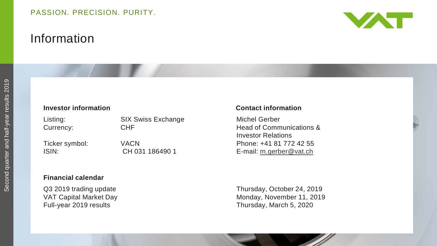# Information



#### **Investor information**

| Listing:       | <b>SIX Swiss Exchange</b> |
|----------------|---------------------------|
| Currency:      | <b>CHF</b>                |
| Ticker symbol: | VACN                      |
| ISIN:          | CH 031 186490 1           |

#### **Financial calendar**

Full-year 2019 results

#### **information Contact information**

Michel Gerber Head of Communications & Investor Relations Phone: +41 81 772 42 55 E -mail: [m.gerber@vat.ch](mailto:m.gerber@vat.ch)

Q3 2019 trading update Thursday, October 24, 2019 VAT Capital Market Day Monday, November 11, 2019 Thursday, March 5, 2020